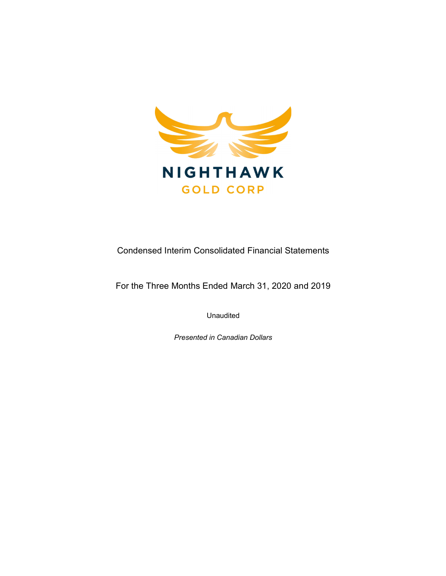

Condensed Interim Consolidated Financial Statements

For the Three Months Ended March 31, 2020 and 2019

Unaudited

Presented in Canadian Dollars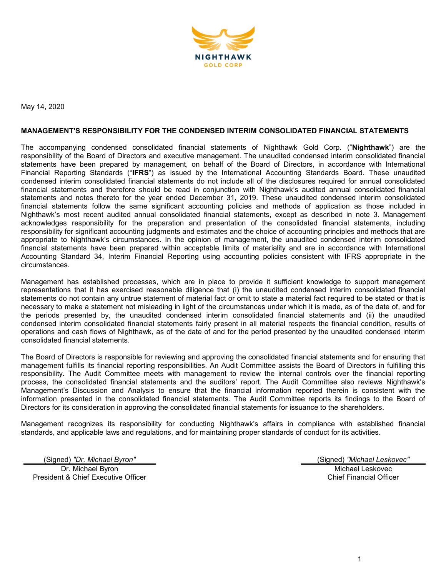

May 14, 2020

#### MANAGEMENT'S RESPONSIBILITY FOR THE CONDENSED INTERIM CONSOLIDATED FINANCIAL STATEMENTS

The accompanying condensed consolidated financial statements of Nighthawk Gold Corp. ("Nighthawk") are the responsibility of the Board of Directors and executive management. The unaudited condensed interim consolidated financial statements have been prepared by management, on behalf of the Board of Directors, in accordance with International Financial Reporting Standards ("IFRS") as issued by the International Accounting Standards Board. These unaudited condensed interim consolidated financial statements do not include all of the disclosures required for annual consolidated financial statements and therefore should be read in conjunction with Nighthawk's audited annual consolidated financial statements and notes thereto for the year ended December 31, 2019. These unaudited condensed interim consolidated financial statements follow the same significant accounting policies and methods of application as those included in Nighthawk's most recent audited annual consolidated financial statements, except as described in note 3. Management acknowledges responsibility for the preparation and presentation of the consolidated financial statements, including responsibility for significant accounting judgments and estimates and the choice of accounting principles and methods that are appropriate to Nighthawk's circumstances. In the opinion of management, the unaudited condensed interim consolidated financial statements have been prepared within acceptable limits of materiality and are in accordance with International Accounting Standard 34, Interim Financial Reporting using accounting policies consistent with IFRS appropriate in the circumstances.

Management has established processes, which are in place to provide it sufficient knowledge to support management representations that it has exercised reasonable diligence that (i) the unaudited condensed interim consolidated financial statements do not contain any untrue statement of material fact or omit to state a material fact required to be stated or that is necessary to make a statement not misleading in light of the circumstances under which it is made, as of the date of, and for the periods presented by, the unaudited condensed interim consolidated financial statements and (ii) the unaudited condensed interim consolidated financial statements fairly present in all material respects the financial condition, results of operations and cash flows of Nighthawk, as of the date of and for the period presented by the unaudited condensed interim consolidated financial statements.

The Board of Directors is responsible for reviewing and approving the consolidated financial statements and for ensuring that management fulfills its financial reporting responsibilities. An Audit Committee assists the Board of Directors in fulfilling this responsibility. The Audit Committee meets with management to review the internal controls over the financial reporting process, the consolidated financial statements and the auditors' report. The Audit Committee also reviews Nighthawk's Management's Discussion and Analysis to ensure that the financial information reported therein is consistent with the information presented in the consolidated financial statements. The Audit Committee reports its findings to the Board of Directors for its consideration in approving the consolidated financial statements for issuance to the shareholders.

Management recognizes its responsibility for conducting Nighthawk's affairs in compliance with established financial standards, and applicable laws and regulations, and for maintaining proper standards of conduct for its activities.

(Signed) "Dr. Michael Byron" (Signed) "Michael Leskovec"

Dr. Michael Byron President & Chief Executive Officer

Michael Leskovec Chief Financial Officer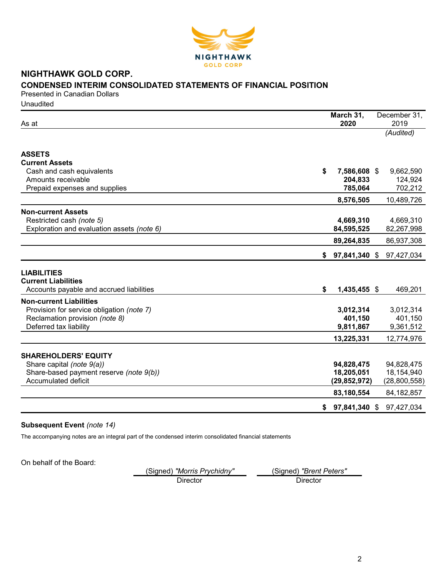

# NIGHTHAWK GOLD CORP. CONDENSED INTERIM CONSOLIDATED STATEMENTS OF FINANCIAL POSITION

Presented in Canadian Dollars **Unaudited** 

| As at                                                                | March 31,<br>2020        | December 31,<br>2019     |
|----------------------------------------------------------------------|--------------------------|--------------------------|
|                                                                      |                          | (Audited)                |
|                                                                      |                          |                          |
| <b>ASSETS</b>                                                        |                          |                          |
| <b>Current Assets</b>                                                |                          |                          |
| Cash and cash equivalents                                            | \$<br>7,586,608 \$       | 9,662,590                |
| Amounts receivable                                                   | 204,833                  | 124,924                  |
| Prepaid expenses and supplies                                        | 785,064                  | 702,212                  |
|                                                                      | 8,576,505                | 10,489,726               |
| <b>Non-current Assets</b>                                            |                          |                          |
| Restricted cash (note 5)                                             | 4,669,310                | 4,669,310                |
| Exploration and evaluation assets (note 6)                           | 84,595,525               | 82,267,998               |
|                                                                      | 89,264,835               | 86,937,308               |
|                                                                      | \$<br>97,841,340 \$      | 97,427,034               |
| <b>LIABILITIES</b>                                                   |                          |                          |
| <b>Current Liabilities</b>                                           |                          |                          |
| Accounts payable and accrued liabilities                             | \$<br>1,435,455 \$       | 469,201                  |
| <b>Non-current Liabilities</b>                                       |                          |                          |
| Provision for service obligation (note 7)                            | 3,012,314                | 3,012,314                |
| Reclamation provision (note 8)                                       | 401,150                  | 401,150                  |
| Deferred tax liability                                               | 9,811,867                | 9,361,512                |
|                                                                      | 13,225,331               | 12,774,976               |
|                                                                      |                          |                          |
| <b>SHAREHOLDERS' EQUITY</b>                                          |                          |                          |
| Share capital (note 9(a))<br>Share-based payment reserve (note 9(b)) | 94,828,475<br>18,205,051 | 94,828,475<br>18,154,940 |
| Accumulated deficit                                                  | (29, 852, 972)           | (28,800,558)             |
|                                                                      |                          |                          |
|                                                                      | 83,180,554               | 84, 182, 857             |
|                                                                      | \$<br>97,841,340 \$      | 97,427,034               |

# Subsequent Event (note 14)

The accompanying notes are an integral part of the condensed interim consolidated financial statements

On behalf of the Board:

(Signed) "Morris Prychidny" (Signed) "Brent Peters" Director Director Director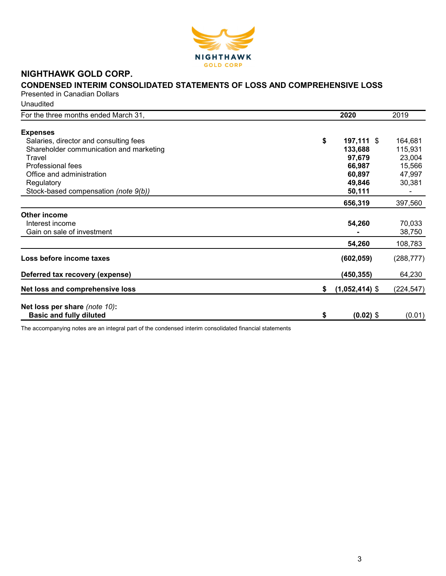

# NIGHTHAWK GOLD CORP.

# CONDENSED INTERIM CONSOLIDATED STATEMENTS OF LOSS AND COMPREHENSIVE LOSS

Presented in Canadian Dollars Unaudited

| For the three months ended March 31,    |    | 2020             | 2019       |
|-----------------------------------------|----|------------------|------------|
| <b>Expenses</b>                         |    |                  |            |
| Salaries, director and consulting fees  | \$ | 197,111 \$       | 164,681    |
| Shareholder communication and marketing |    | 133,688          | 115,931    |
| Travel                                  |    | 97,679           | 23,004     |
| Professional fees                       |    | 66,987           | 15,566     |
| Office and administration               |    | 60,897           | 47,997     |
| Regulatory                              |    | 49,846           | 30,381     |
| Stock-based compensation (note 9(b))    |    | 50,111           |            |
|                                         |    | 656,319          | 397,560    |
| <b>Other income</b>                     |    |                  |            |
| Interest income                         |    | 54,260           | 70,033     |
| Gain on sale of investment              |    |                  | 38,750     |
|                                         |    | 54,260           | 108,783    |
| Loss before income taxes                |    | (602, 059)       | (288, 777) |
| Deferred tax recovery (expense)         |    | (450, 355)       | 64,230     |
| Net loss and comprehensive loss         | S. | $(1,052,414)$ \$ | (224, 547) |
| Net loss per share (note 10):           |    |                  |            |
| <b>Basic and fully diluted</b>          | \$ | $(0.02)$ \$      | (0.01)     |

The accompanying notes are an integral part of the condensed interim consolidated financial statements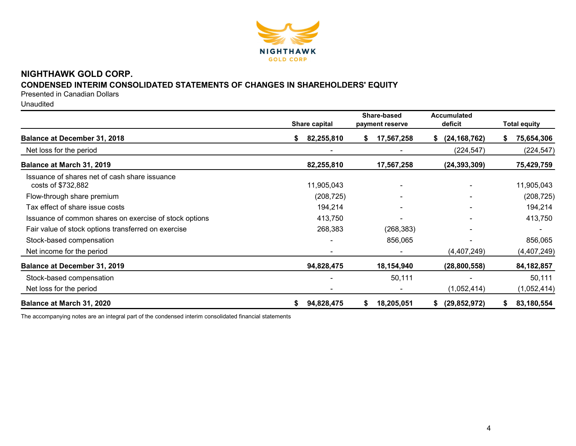

# NIGHTHAWK GOLD CORP.

# CONDENSED INTERIM CONSOLIDATED STATEMENTS OF CHANGES IN SHAREHOLDERS' EQUITY

Presented in Canadian Dollars

Unaudited

|                                                                     | Share capital |            |    | Share-based<br>payment reserve | <b>Accumulated</b><br>deficit | <b>Total equity</b> |
|---------------------------------------------------------------------|---------------|------------|----|--------------------------------|-------------------------------|---------------------|
| <b>Balance at December 31, 2018</b>                                 | S.            | 82,255,810 | S. | 17,567,258                     | (24, 168, 762)<br>\$          | 75,654,306          |
| Net loss for the period                                             |               |            |    |                                | (224, 547)                    | (224, 547)          |
| Balance at March 31, 2019                                           |               | 82,255,810 |    | 17,567,258                     | (24, 393, 309)                | 75,429,759          |
| Issuance of shares net of cash share issuance<br>costs of \$732,882 |               | 11,905,043 |    |                                |                               | 11,905,043          |
| Flow-through share premium                                          |               | (208, 725) |    |                                |                               | (208, 725)          |
| Tax effect of share issue costs                                     |               | 194,214    |    |                                |                               | 194,214             |
| Issuance of common shares on exercise of stock options              |               | 413,750    |    |                                |                               | 413,750             |
| Fair value of stock options transferred on exercise                 |               | 268,383    |    | (268, 383)                     |                               |                     |
| Stock-based compensation                                            |               |            |    | 856,065                        |                               | 856,065             |
| Net income for the period                                           |               |            |    |                                | (4,407,249)                   | (4,407,249)         |
| <b>Balance at December 31, 2019</b>                                 |               | 94,828,475 |    | 18,154,940                     | (28, 800, 558)                | 84, 182, 857        |
| Stock-based compensation                                            |               |            |    | 50,111                         |                               | 50,111              |
| Net loss for the period                                             |               |            |    |                                | (1,052,414)                   | (1,052,414)         |
| Balance at March 31, 2020                                           | \$            | 94,828,475 | \$ | 18,205,051                     | (29, 852, 972)<br>\$          | 83,180,554          |

The accompanying notes are an integral part of the condensed interim consolidated financial statements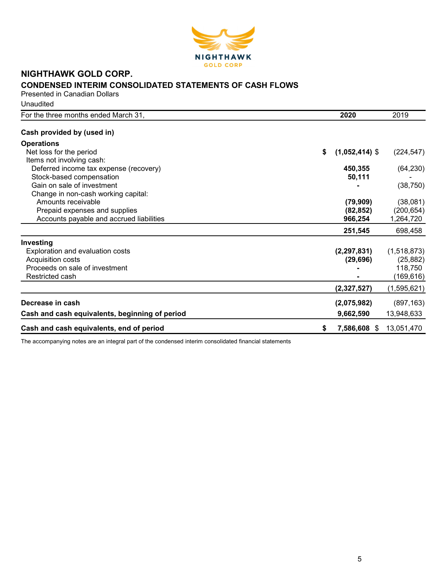

# NIGHTHAWK GOLD CORP. CONDENSED INTERIM CONSOLIDATED STATEMENTS OF CASH FLOWS

Presented in Canadian Dollars **Unaudited** 

| For the three months ended March 31,           | 2020                   | 2019        |
|------------------------------------------------|------------------------|-------------|
| Cash provided by (used in)                     |                        |             |
| <b>Operations</b>                              |                        |             |
| Net loss for the period                        | $(1,052,414)$ \$<br>\$ | (224, 547)  |
| Items not involving cash:                      |                        |             |
| Deferred income tax expense (recovery)         | 450,355                | (64, 230)   |
| Stock-based compensation                       | 50,111                 |             |
| Gain on sale of investment                     |                        | (38, 750)   |
| Change in non-cash working capital:            |                        |             |
| Amounts receivable                             | (79, 909)              | (38,081)    |
| Prepaid expenses and supplies                  | (82, 852)              | (200, 654)  |
| Accounts payable and accrued liabilities       | 966,254                | 1,264,720   |
|                                                | 251,545                | 698,458     |
| Investing                                      |                        |             |
| Exploration and evaluation costs               | (2, 297, 831)          | (1,518,873) |
| Acquisition costs                              | (29, 696)              | (25, 882)   |
| Proceeds on sale of investment                 |                        | 118,750     |
| Restricted cash                                |                        | (169, 616)  |
|                                                | (2,327,527)            | (1,595,621) |
| Decrease in cash                               | (2,075,982)            | (897, 163)  |
| Cash and cash equivalents, beginning of period | 9,662,590              | 13,948,633  |
| Cash and cash equivalents, end of period       | 7,586,608 \$<br>\$     | 13,051,470  |

The accompanying notes are an integral part of the condensed interim consolidated financial statements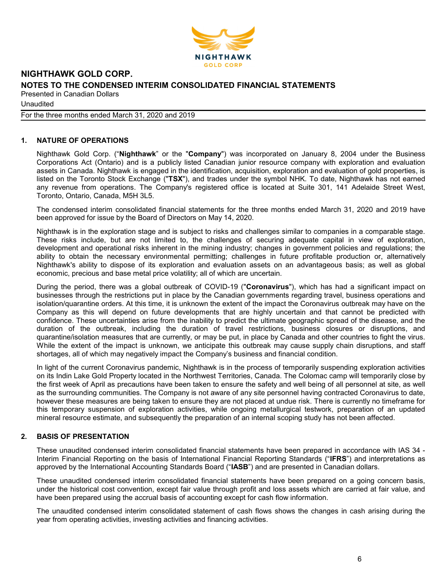

Unaudited

For the three months ended March 31, 2020 and 2019

# 1. NATURE OF OPERATIONS

Nighthawk Gold Corp. ("Nighthawk" or the "Company") was incorporated on January 8, 2004 under the Business Corporations Act (Ontario) and is a publicly listed Canadian junior resource company with exploration and evaluation assets in Canada. Nighthawk is engaged in the identification, acquisition, exploration and evaluation of gold properties, is listed on the Toronto Stock Exchange ("TSX"), and trades under the symbol NHK. To date, Nighthawk has not earned any revenue from operations. The Company's registered office is located at Suite 301, 141 Adelaide Street West, Toronto, Ontario, Canada, M5H 3L5.

The condensed interim consolidated financial statements for the three months ended March 31, 2020 and 2019 have been approved for issue by the Board of Directors on May 14, 2020.

Nighthawk is in the exploration stage and is subject to risks and challenges similar to companies in a comparable stage. These risks include, but are not limited to, the challenges of securing adequate capital in view of exploration, development and operational risks inherent in the mining industry; changes in government policies and regulations; the ability to obtain the necessary environmental permitting; challenges in future profitable production or, alternatively Nighthawk's ability to dispose of its exploration and evaluation assets on an advantageous basis; as well as global economic, precious and base metal price volatility; all of which are uncertain.

During the period, there was a global outbreak of COVID-19 ("Coronavirus"), which has had a significant impact on businesses through the restrictions put in place by the Canadian governments regarding travel, business operations and isolation/quarantine orders. At this time, it is unknown the extent of the impact the Coronavirus outbreak may have on the Company as this will depend on future developments that are highly uncertain and that cannot be predicted with confidence. These uncertainties arise from the inability to predict the ultimate geographic spread of the disease, and the duration of the outbreak, including the duration of travel restrictions, business closures or disruptions, and quarantine/isolation measures that are currently, or may be put, in place by Canada and other countries to fight the virus. While the extent of the impact is unknown, we anticipate this outbreak may cause supply chain disruptions, and staff shortages, all of which may negatively impact the Company's business and financial condition.

In light of the current Coronavirus pandemic, Nighthawk is in the process of temporarily suspending exploration activities on its Indin Lake Gold Property located in the Northwest Territories, Canada. The Colomac camp will temporarily close by the first week of April as precautions have been taken to ensure the safety and well being of all personnel at site, as well as the surrounding communities. The Company is not aware of any site personnel having contracted Coronavirus to date, however these measures are being taken to ensure they are not placed at undue risk. There is currently no timeframe for this temporary suspension of exploration activities, while ongoing metallurgical testwork, preparation of an updated mineral resource estimate, and subsequently the preparation of an internal scoping study has not been affected.

# 2. BASIS OF PRESENTATION

These unaudited condensed interim consolidated financial statements have been prepared in accordance with IAS 34 - Interim Financial Reporting on the basis of International Financial Reporting Standards ("IFRS") and interpretations as approved by the International Accounting Standards Board ("IASB") and are presented in Canadian dollars.

These unaudited condensed interim consolidated financial statements have been prepared on a going concern basis, under the historical cost convention, except fair value through profit and loss assets which are carried at fair value, and have been prepared using the accrual basis of accounting except for cash flow information.

The unaudited condensed interim consolidated statement of cash flows shows the changes in cash arising during the year from operating activities, investing activities and financing activities.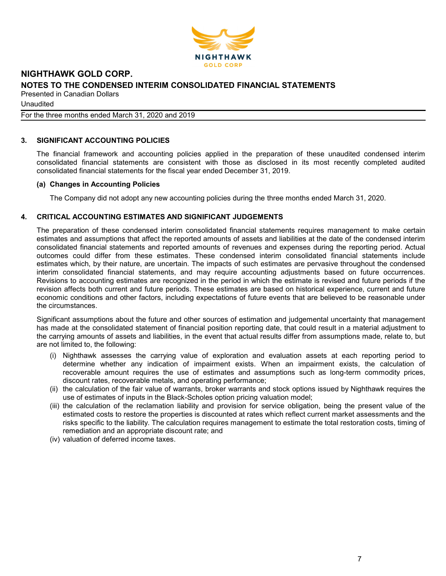

Unaudited

For the three months ended March 31, 2020 and 2019

# 3. SIGNIFICANT ACCOUNTING POLICIES

The financial framework and accounting policies applied in the preparation of these unaudited condensed interim consolidated financial statements are consistent with those as disclosed in its most recently completed audited consolidated financial statements for the fiscal year ended December 31, 2019.

#### (a) Changes in Accounting Policies

The Company did not adopt any new accounting policies during the three months ended March 31, 2020.

# 4. CRITICAL ACCOUNTING ESTIMATES AND SIGNIFICANT JUDGEMENTS

The preparation of these condensed interim consolidated financial statements requires management to make certain estimates and assumptions that affect the reported amounts of assets and liabilities at the date of the condensed interim consolidated financial statements and reported amounts of revenues and expenses during the reporting period. Actual outcomes could differ from these estimates. These condensed interim consolidated financial statements include estimates which, by their nature, are uncertain. The impacts of such estimates are pervasive throughout the condensed interim consolidated financial statements, and may require accounting adjustments based on future occurrences. Revisions to accounting estimates are recognized in the period in which the estimate is revised and future periods if the revision affects both current and future periods. These estimates are based on historical experience, current and future economic conditions and other factors, including expectations of future events that are believed to be reasonable under the circumstances.

Significant assumptions about the future and other sources of estimation and judgemental uncertainty that management has made at the consolidated statement of financial position reporting date, that could result in a material adjustment to the carrying amounts of assets and liabilities, in the event that actual results differ from assumptions made, relate to, but are not limited to, the following:

- (i) Nighthawk assesses the carrying value of exploration and evaluation assets at each reporting period to determine whether any indication of impairment exists. When an impairment exists, the calculation of recoverable amount requires the use of estimates and assumptions such as long-term commodity prices, discount rates, recoverable metals, and operating performance;
- (ii) the calculation of the fair value of warrants, broker warrants and stock options issued by Nighthawk requires the use of estimates of inputs in the Black-Scholes option pricing valuation model;
- (iii) the calculation of the reclamation liability and provision for service obligation, being the present value of the estimated costs to restore the properties is discounted at rates which reflect current market assessments and the risks specific to the liability. The calculation requires management to estimate the total restoration costs, timing of remediation and an appropriate discount rate; and
- (iv) valuation of deferred income taxes.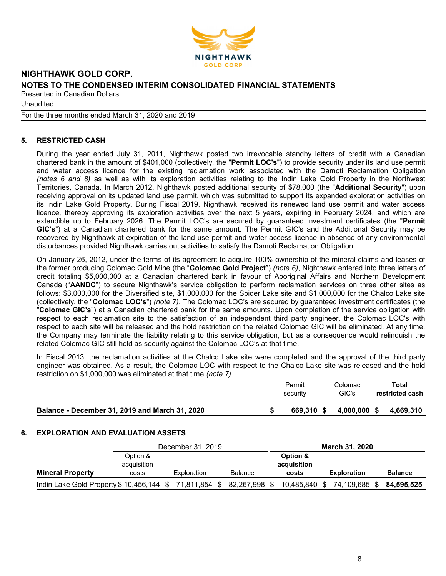

Unaudited

For the three months ended March 31, 2020 and 2019

# 5. RESTRICTED CASH

During the year ended July 31, 2011, Nighthawk posted two irrevocable standby letters of credit with a Canadian chartered bank in the amount of \$401,000 (collectively, the "Permit LOC's") to provide security under its land use permit and water access licence for the existing reclamation work associated with the Damoti Reclamation Obligation (notes 6 and 8) as well as with its exploration activities relating to the Indin Lake Gold Property in the Northwest Territories, Canada. In March 2012, Nighthawk posted additional security of \$78,000 (the "Additional Security") upon receiving approval on its updated land use permit, which was submitted to support its expanded exploration activities on its Indin Lake Gold Property. During Fiscal 2019, Nighthawk received its renewed land use permit and water access licence, thereby approving its exploration activities over the next 5 years, expiring in February 2024, and which are extendible up to February 2026. The Permit LOC's are secured by guaranteed investment certificates (the "Permit GIC's") at a Canadian chartered bank for the same amount. The Permit GIC's and the Additional Security may be recovered by Nighthawk at expiration of the land use permit and water access licence in absence of any environmental disturbances provided Nighthawk carries out activities to satisfy the Damoti Reclamation Obligation.

On January 26, 2012, under the terms of its agreement to acquire 100% ownership of the mineral claims and leases of the former producing Colomac Gold Mine (the "Colomac Gold Project") (note 6), Nighthawk entered into three letters of credit totaling \$5,000,000 at a Canadian chartered bank in favour of Aboriginal Affairs and Northern Development Canada ("AANDC") to secure Nighthawk's service obligation to perform reclamation services on three other sites as follows: \$3,000,000 for the Diversified site, \$1,000,000 for the Spider Lake site and \$1,000,000 for the Chalco Lake site (collectively, the "Colomac LOC's") (note 7). The Colomac LOC's are secured by guaranteed investment certificates (the "Colomac GIC's") at a Canadian chartered bank for the same amounts. Upon completion of the service obligation with respect to each reclamation site to the satisfaction of an independent third party engineer, the Colomac LOC's with respect to each site will be released and the hold restriction on the related Colomac GIC will be eliminated. At any time, the Company may terminate the liability relating to this service obligation, but as a consequence would relinquish the related Colomac GIC still held as security against the Colomac LOC's at that time.

In Fiscal 2013, the reclamation activities at the Chalco Lake site were completed and the approval of the third party engineer was obtained. As a result, the Colomac LOC with respect to the Chalco Lake site was released and the hold restriction on \$1,000,000 was eliminated at that time (note 7).

|                                                | Permit<br>security | Colomac<br>GIC's | Total<br>restricted cash |
|------------------------------------------------|--------------------|------------------|--------------------------|
| Balance - December 31, 2019 and March 31, 2020 | 669.310 \$         | 4.000.000 \$     | 4.669.310                |

#### 6. EXPLORATION AND EVALUATION ASSETS

|                                                       | December 31, 2019       |             |                | <b>March 31, 2020</b> |                         |  |                    |  |                |
|-------------------------------------------------------|-------------------------|-------------|----------------|-----------------------|-------------------------|--|--------------------|--|----------------|
|                                                       | Option &<br>acquisition |             |                |                       | Option &<br>acquisition |  |                    |  |                |
| <b>Mineral Property</b>                               | costs                   | Exploration | <b>Balance</b> |                       | costs                   |  | <b>Exploration</b> |  | <b>Balance</b> |
| Indin Lake Gold Property \$10,456,144 \$71,811,854 \$ |                         |             | 82,267,998 \$  |                       | 10,485,840 \$           |  | 74,109,685 \$      |  | 84.595.525     |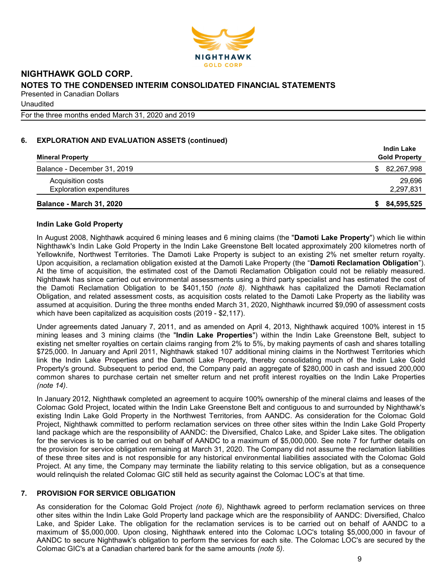

Unaudited

For the three months ended March 31, 2020 and 2019

# 6. EXPLORATION AND EVALUATION ASSETS (continued)

| <b>Mineral Property</b>         | <b>Indin Lake</b><br><b>Gold Property</b> |
|---------------------------------|-------------------------------------------|
| Balance - December 31, 2019     | \$82,267,998                              |
| Acquisition costs               | 29,696                                    |
| <b>Exploration expenditures</b> | 2,297,831                                 |
| <b>Balance - March 31, 2020</b> | 84,595,525<br>S.                          |

#### Indin Lake Gold Property

In August 2008, Nighthawk acquired 6 mining leases and 6 mining claims (the "Damoti Lake Property") which lie within Nighthawk's Indin Lake Gold Property in the Indin Lake Greenstone Belt located approximately 200 kilometres north of Yellowknife, Northwest Territories. The Damoti Lake Property is subject to an existing 2% net smelter return royalty. Upon acquisition, a reclamation obligation existed at the Damoti Lake Property (the "Damoti Reclamation Obligation"). At the time of acquisition, the estimated cost of the Damoti Reclamation Obligation could not be reliably measured. Nighthawk has since carried out environmental assessments using a third party specialist and has estimated the cost of the Damoti Reclamation Obligation to be \$401,150 (note 8). Nighthawk has capitalized the Damoti Reclamation Obligation, and related assessment costs, as acquisition costs related to the Damoti Lake Property as the liability was assumed at acquisition. During the three months ended March 31, 2020, Nighthawk incurred \$9,090 of assessment costs which have been capitalized as acquisition costs (2019 - \$2,117).

Under agreements dated January 7, 2011, and as amended on April 4, 2013, Nighthawk acquired 100% interest in 15 mining leases and 3 mining claims (the "Indin Lake Properties") within the Indin Lake Greenstone Belt, subject to existing net smelter royalties on certain claims ranging from 2% to 5%, by making payments of cash and shares totalling \$725,000. In January and April 2011, Nighthawk staked 107 additional mining claims in the Northwest Territories which link the Indin Lake Properties and the Damoti Lake Property, thereby consolidating much of the Indin Lake Gold Property's ground. Subsequent to period end, the Company paid an aggregate of \$280,000 in cash and issued 200,000 common shares to purchase certain net smelter return and net profit interest royalties on the Indin Lake Properties (note 14).

In January 2012, Nighthawk completed an agreement to acquire 100% ownership of the mineral claims and leases of the Colomac Gold Project, located within the Indin Lake Greenstone Belt and contiguous to and surrounded by Nighthawk's existing Indin Lake Gold Property in the Northwest Territories, from AANDC. As consideration for the Colomac Gold Project, Nighthawk committed to perform reclamation services on three other sites within the Indin Lake Gold Property land package which are the responsibility of AANDC: the Diversified, Chalco Lake, and Spider Lake sites. The obligation for the services is to be carried out on behalf of AANDC to a maximum of \$5,000,000. See note 7 for further details on the provision for service obligation remaining at March 31, 2020. The Company did not assume the reclamation liabilities of these three sites and is not responsible for any historical environmental liabilities associated with the Colomac Gold Project. At any time, the Company may terminate the liability relating to this service obligation, but as a consequence would relinquish the related Colomac GIC still held as security against the Colomac LOC's at that time.

#### 7. PROVISION FOR SERVICE OBLIGATION

As consideration for the Colomac Gold Project *(note 6)*, Nighthawk agreed to perform reclamation services on three other sites within the Indin Lake Gold Property land package which are the responsibility of AANDC: Diversified, Chalco Lake, and Spider Lake. The obligation for the reclamation services is to be carried out on behalf of AANDC to a maximum of \$5,000,000. Upon closing, Nighthawk entered into the Colomac LOC's totaling \$5,000,000 in favour of AANDC to secure Nighthawk's obligation to perform the services for each site. The Colomac LOC's are secured by the Colomac GIC's at a Canadian chartered bank for the same amounts (note 5).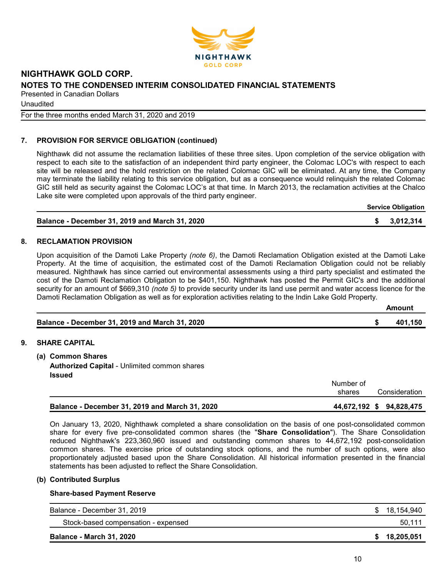

Unaudited

For the three months ended March 31, 2020 and 2019

# 7. PROVISION FOR SERVICE OBLIGATION (continued)

Nighthawk did not assume the reclamation liabilities of these three sites. Upon completion of the service obligation with respect to each site to the satisfaction of an independent third party engineer, the Colomac LOC's with respect to each site will be released and the hold restriction on the related Colomac GIC will be eliminated. At any time, the Company may terminate the liability relating to this service obligation, but as a consequence would relinquish the related Colomac GIC still held as security against the Colomac LOC's at that time. In March 2013, the reclamation activities at the Chalco Lake site were completed upon approvals of the third party engineer.

| <b>Service Obligation</b> |
|---------------------------|
|---------------------------|

| <b>Balance - December 31, 2019 and March 31, 2020</b> | \$3,012,314 |
|-------------------------------------------------------|-------------|
|                                                       |             |

#### 8. RECLAMATION PROVISION

Upon acquisition of the Damoti Lake Property (note 6), the Damoti Reclamation Obligation existed at the Damoti Lake Property. At the time of acquisition, the estimated cost of the Damoti Reclamation Obligation could not be reliably measured. Nighthawk has since carried out environmental assessments using a third party specialist and estimated the cost of the Damoti Reclamation Obligation to be \$401,150. Nighthawk has posted the Permit GIC's and the additional security for an amount of \$669,310 *(note 5)* to provide security under its land use permit and water access licence for the Damoti Reclamation Obligation as well as for exploration activities relating to the Indin Lake Gold Property.

|                                                | Amount  |
|------------------------------------------------|---------|
| Balance - December 31, 2019 and March 31, 2020 | 401.150 |

#### 9. SHARE CAPITAL

(a) Common Shares Authorized Capital - Unlimited common shares Issued

|                                                | Number of<br>shares      | Consideration |
|------------------------------------------------|--------------------------|---------------|
| Balance - December 31, 2019 and March 31, 2020 | 44,672,192 \$ 94,828,475 |               |

On January 13, 2020, Nighthawk completed a share consolidation on the basis of one post-consolidated common share for every five pre-consolidated common shares (the "Share Consolidation"). The Share Consolidation reduced Nighthawk's 223,360,960 issued and outstanding common shares to 44,672,192 post-consolidation common shares. The exercise price of outstanding stock options, and the number of such options, were also proportionately adjusted based upon the Share Consolidation. All historical information presented in the financial statements has been adjusted to reflect the Share Consolidation.

#### (b) Contributed Surplus

#### Share-based Payment Reserve

| Balance - December 31, 2019         | \$18,154,940 |
|-------------------------------------|--------------|
| Stock-based compensation - expensed | 50,111       |
| <b>Balance - March 31, 2020</b>     | \$18,205,051 |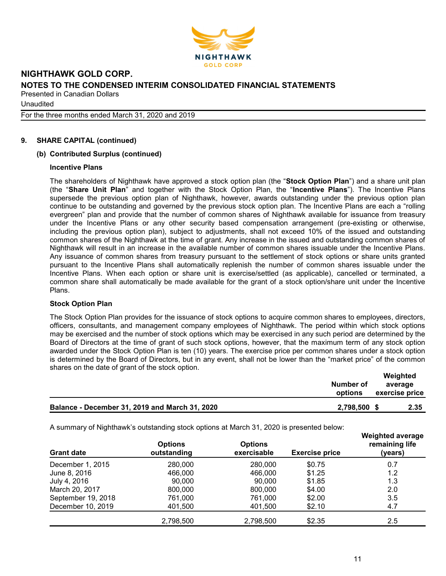

Unaudited

For the three months ended March 31, 2020 and 2019

# 9. SHARE CAPITAL (continued)

#### (b) Contributed Surplus (continued)

#### Incentive Plans

The shareholders of Nighthawk have approved a stock option plan (the "Stock Option Plan") and a share unit plan (the "Share Unit Plan" and together with the Stock Option Plan, the "Incentive Plans"). The Incentive Plans supersede the previous option plan of Nighthawk, however, awards outstanding under the previous option plan continue to be outstanding and governed by the previous stock option plan. The Incentive Plans are each a "rolling evergreen" plan and provide that the number of common shares of Nighthawk available for issuance from treasury under the Incentive Plans or any other security based compensation arrangement (pre-existing or otherwise, including the previous option plan), subject to adjustments, shall not exceed 10% of the issued and outstanding common shares of the Nighthawk at the time of grant. Any increase in the issued and outstanding common shares of Nighthawk will result in an increase in the available number of common shares issuable under the Incentive Plans. Any issuance of common shares from treasury pursuant to the settlement of stock options or share units granted pursuant to the Incentive Plans shall automatically replenish the number of common shares issuable under the Incentive Plans. When each option or share unit is exercise/settled (as applicable), cancelled or terminated, a common share shall automatically be made available for the grant of a stock option/share unit under the Incentive Plans.

#### Stock Option Plan

The Stock Option Plan provides for the issuance of stock options to acquire common shares to employees, directors, officers, consultants, and management company employees of Nighthawk. The period within which stock options may be exercised and the number of stock options which may be exercised in any such period are determined by the Board of Directors at the time of grant of such stock options, however, that the maximum term of any stock option awarded under the Stock Option Plan is ten (10) years. The exercise price per common shares under a stock option is determined by the Board of Directors, but in any event, shall not be lower than the "market price" of the common shares on the date of grant of the stock option. Weighted

|                                                | Number of<br>options | Weighted<br>average<br>exercise price |  |
|------------------------------------------------|----------------------|---------------------------------------|--|
| Balance - December 31, 2019 and March 31, 2020 | 2.798.500            | 2.35                                  |  |

A summary of Nighthawk's outstanding stock options at March 31, 2020 is presented below:

| <b>Grant date</b>  | <b>Options</b><br>outstanding | <b>Options</b><br>exercisable | <b>Exercise price</b> | <b>Weighted average</b><br>remaining life<br>(years) |
|--------------------|-------------------------------|-------------------------------|-----------------------|------------------------------------------------------|
| December 1, 2015   | 280,000                       | 280,000                       | \$0.75                | 0.7                                                  |
| June 8, 2016       | 466,000                       | 466,000                       | \$1.25                | 1.2                                                  |
| July 4, 2016       | 90,000                        | 90.000                        | \$1.85                | 1.3                                                  |
| March 20, 2017     | 800,000                       | 800,000                       | \$4.00                | 2.0                                                  |
| September 19, 2018 | 761,000                       | 761.000                       | \$2.00                | 3.5                                                  |
| December 10, 2019  | 401.500                       | 401,500                       | \$2.10                | 4.7                                                  |
|                    | 2,798,500                     | 2,798,500                     | \$2.35                | 2.5                                                  |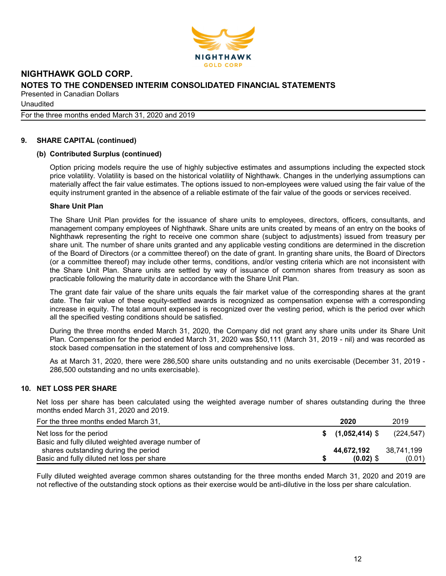

Unaudited

For the three months ended March 31, 2020 and 2019

# 9. SHARE CAPITAL (continued)

#### (b) Contributed Surplus (continued)

Option pricing models require the use of highly subjective estimates and assumptions including the expected stock price volatility. Volatility is based on the historical volatility of Nighthawk. Changes in the underlying assumptions can materially affect the fair value estimates. The options issued to non-employees were valued using the fair value of the equity instrument granted in the absence of a reliable estimate of the fair value of the goods or services received.

#### Share Unit Plan

The Share Unit Plan provides for the issuance of share units to employees, directors, officers, consultants, and management company employees of Nighthawk. Share units are units created by means of an entry on the books of Nighthawk representing the right to receive one common share (subject to adjustments) issued from treasury per share unit. The number of share units granted and any applicable vesting conditions are determined in the discretion of the Board of Directors (or a committee thereof) on the date of grant. In granting share units, the Board of Directors (or a committee thereof) may include other terms, conditions, and/or vesting criteria which are not inconsistent with the Share Unit Plan. Share units are settled by way of issuance of common shares from treasury as soon as practicable following the maturity date in accordance with the Share Unit Plan.

The grant date fair value of the share units equals the fair market value of the corresponding shares at the grant date. The fair value of these equity-settled awards is recognized as compensation expense with a corresponding increase in equity. The total amount expensed is recognized over the vesting period, which is the period over which all the specified vesting conditions should be satisfied.

During the three months ended March 31, 2020, the Company did not grant any share units under its Share Unit Plan. Compensation for the period ended March 31, 2020 was \$50,111 (March 31, 2019 - nil) and was recorded as stock based compensation in the statement of loss and comprehensive loss.

As at March 31, 2020, there were 286,500 share units outstanding and no units exercisable (December 31, 2019 - 286,500 outstanding and no units exercisable).

#### 10. NET LOSS PER SHARE

Net loss per share has been calculated using the weighted average number of shares outstanding during the three months ended March 31, 2020 and 2019.

| For the three months ended March 31,               | 2020          | 2019       |
|----------------------------------------------------|---------------|------------|
| Net loss for the period                            | \$(1,052,414) | (224,547)  |
| Basic and fully diluted weighted average number of |               |            |
| shares outstanding during the period               | 44,672,192    | 38.741.199 |
| Basic and fully diluted net loss per share         | $(0.02)$ \$   | (0.01)     |

Fully diluted weighted average common shares outstanding for the three months ended March 31, 2020 and 2019 are not reflective of the outstanding stock options as their exercise would be anti-dilutive in the loss per share calculation.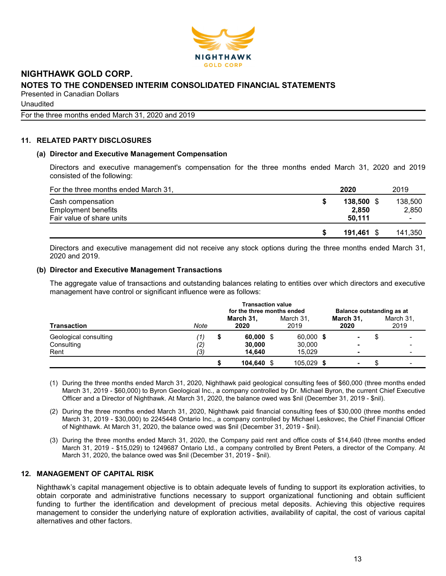

Unaudited

For the three months ended March 31, 2020 and 2019

# 11. RELATED PARTY DISCLOSURES

#### (a) Director and Executive Management Compensation

Directors and executive management's compensation for the three months ended March 31, 2020 and 2019 consisted of the following:

| For the three months ended March 31, | 2020   |            | 2019                     |
|--------------------------------------|--------|------------|--------------------------|
| Cash compensation                    |        | 138,500 \$ | 138,500                  |
| <b>Employment benefits</b>           |        | 2,850      | 2,850                    |
| Fair value of share units            | 50.111 |            | $\overline{\phantom{a}}$ |
|                                      |        | 191.461 \$ | 141,350                  |

Directors and executive management did not receive any stock options during the three months ended March 31, 2020 and 2019.

#### (b) Director and Executive Management Transactions

The aggregate value of transactions and outstanding balances relating to entities over which directors and executive management have control or significant influence were as follows:

|                                             | <b>Transaction value</b><br>for the three months ended |   |                                 |  | Balance outstanding as at     |  |                   |  |                   |
|---------------------------------------------|--------------------------------------------------------|---|---------------------------------|--|-------------------------------|--|-------------------|--|-------------------|
| <b>Transaction</b>                          | Note                                                   |   | March 31,<br>2020               |  | March 31,<br>2019             |  | March 31,<br>2020 |  | March 31,<br>2019 |
| Geological consulting<br>Consulting<br>Rent | '1)<br>$\left( 2\right)$<br>(3)                        | S | $60,000$ \$<br>30,000<br>14.640 |  | 60,000 \$<br>30,000<br>15.029 |  | ۰<br>۰            |  |                   |
|                                             |                                                        |   | 104,640 \$                      |  | 105,029 \$                    |  | $\blacksquare$    |  |                   |

- (1) During the three months ended March 31, 2020, Nighthawk paid geological consulting fees of \$60,000 (three months ended March 31, 2019 - \$60,000) to Byron Geological Inc., a company controlled by Dr. Michael Byron, the current Chief Executive Officer and a Director of Nighthawk. At March 31, 2020, the balance owed was \$nil (December 31, 2019 - \$nil).
- (2) During the three months ended March 31, 2020, Nighthawk paid financial consulting fees of \$30,000 (three months ended March 31, 2019 - \$30,000) to 2245448 Ontario Inc., a company controlled by Michael Leskovec, the Chief Financial Officer of Nighthawk. At March 31, 2020, the balance owed was \$nil (December 31, 2019 - \$nil).
- (3) During the three months ended March 31, 2020, the Company paid rent and office costs of \$14,640 (three months ended March 31, 2019 - \$15,029) to 1249687 Ontario Ltd., a company controlled by Brent Peters, a director of the Company. At March 31, 2020, the balance owed was \$nil (December 31, 2019 - \$nil).

# 12. MANAGEMENT OF CAPITAL RISK

Nighthawk's capital management objective is to obtain adequate levels of funding to support its exploration activities, to obtain corporate and administrative functions necessary to support organizational functioning and obtain sufficient funding to further the identification and development of precious metal deposits. Achieving this objective requires management to consider the underlying nature of exploration activities, availability of capital, the cost of various capital alternatives and other factors.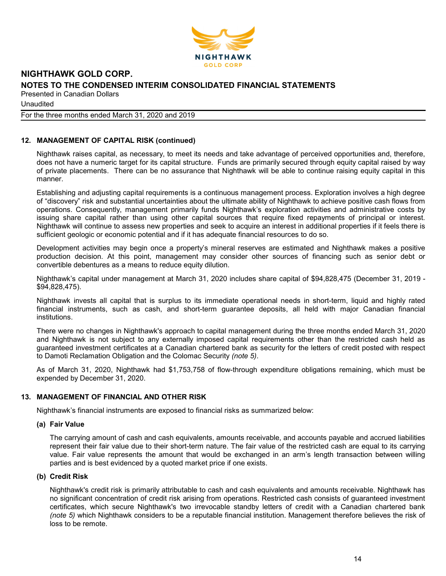

Unaudited

#### For the three months ended March 31, 2020 and 2019

# 12. MANAGEMENT OF CAPITAL RISK (continued)

Nighthawk raises capital, as necessary, to meet its needs and take advantage of perceived opportunities and, therefore, does not have a numeric target for its capital structure. Funds are primarily secured through equity capital raised by way of private placements. There can be no assurance that Nighthawk will be able to continue raising equity capital in this manner.

Establishing and adjusting capital requirements is a continuous management process. Exploration involves a high degree of "discovery" risk and substantial uncertainties about the ultimate ability of Nighthawk to achieve positive cash flows from operations. Consequently, management primarily funds Nighthawk's exploration activities and administrative costs by issuing share capital rather than using other capital sources that require fixed repayments of principal or interest. Nighthawk will continue to assess new properties and seek to acquire an interest in additional properties if it feels there is sufficient geologic or economic potential and if it has adequate financial resources to do so.

Development activities may begin once a property's mineral reserves are estimated and Nighthawk makes a positive production decision. At this point, management may consider other sources of financing such as senior debt or convertible debentures as a means to reduce equity dilution.

Nighthawk's capital under management at March 31, 2020 includes share capital of \$94,828,475 (December 31, 2019 - \$94,828,475).

Nighthawk invests all capital that is surplus to its immediate operational needs in short-term, liquid and highly rated financial instruments, such as cash, and short-term guarantee deposits, all held with major Canadian financial institutions.

There were no changes in Nighthawk's approach to capital management during the three months ended March 31, 2020 and Nighthawk is not subject to any externally imposed capital requirements other than the restricted cash held as guaranteed investment certificates at a Canadian chartered bank as security for the letters of credit posted with respect to Damoti Reclamation Obligation and the Colomac Security (note 5).

As of March 31, 2020, Nighthawk had \$1,753,758 of flow-through expenditure obligations remaining, which must be expended by December 31, 2020.

#### 13. MANAGEMENT OF FINANCIAL AND OTHER RISK

Nighthawk's financial instruments are exposed to financial risks as summarized below:

#### (a) Fair Value

The carrying amount of cash and cash equivalents, amounts receivable, and accounts payable and accrued liabilities represent their fair value due to their short-term nature. The fair value of the restricted cash are equal to its carrying value. Fair value represents the amount that would be exchanged in an arm's length transaction between willing parties and is best evidenced by a quoted market price if one exists.

#### (b) Credit Risk

Nighthawk's credit risk is primarily attributable to cash and cash equivalents and amounts receivable. Nighthawk has no significant concentration of credit risk arising from operations. Restricted cash consists of guaranteed investment certificates, which secure Nighthawk's two irrevocable standby letters of credit with a Canadian chartered bank (note 5) which Nighthawk considers to be a reputable financial institution. Management therefore believes the risk of loss to be remote.